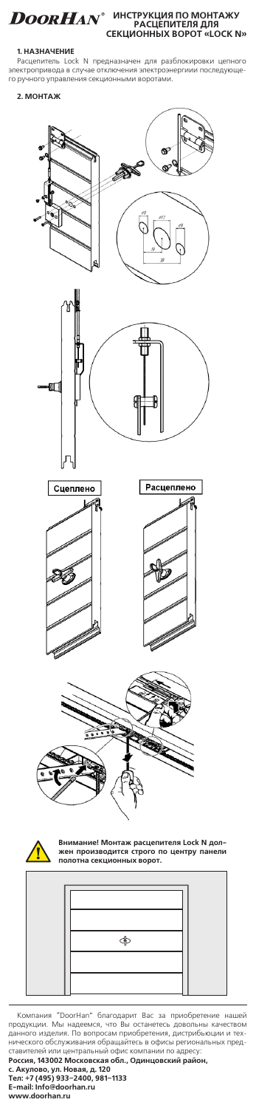**ИНСТРУКЦИЯ ПО МОНТАЖУ РАСЦЕПИТЕЛЯ ДЛЯ СЕКЦИОННЫХ ВОРОТ «LOCK N»**

**1. НАЗНАЧЕНИЕ**<br>Расцепитель Lock N предназначен для разблокировки цепного<br>электропривода в случае отключения электроэнергиии последующе-<br>го ручного управления секционными воротами.

### **2. МОНТАЖ**



— Компания "DoorHan" благодарит Вас за приобретение нашей<br>продукции. Мы надеемся, что Вы останетесь довольны качеством<br>данного изделия. По вопросам приобретения, дистрибыющии и тех-<br>нического обслуживания обращайтесь в оф ставителей или центральный офис компании по адресу:<br>Ро**ссия, 143002 Московская обл., Одинцовский район**,<br>**с. Акулово, ул. Новая, д. 120**<br>**E-mail: Info@doorhan.ru**<br>**E-mail: Info@doorhan.ru www.doorhan.ru**